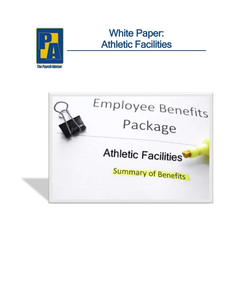

# White Paper: Athletic Facilities

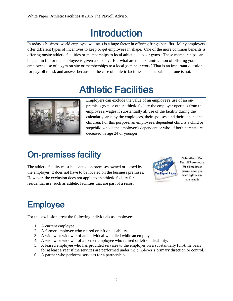## Introduction

In today's business world employee wellness is a huge factor in offering fringe benefits. Many employers offer different types of incentives to keep or get employees in shape. One of the more common benefits is offering onsite athletic facilities or memberships to local athletic clubs or gyms. These memberships can be paid in full or the employee is given a subsidy. But what are the tax ramification of offering your employees use of a gym on site or memberships to a local gym near work? That is an important question for payroll to ask and answer because in the case of athletic facilities one is taxable but one is not.

# Athletic Facilities



Employers can exclude the value of an employee's use of an onpremises gym or other athletic facility the employer operates from the employee's wages if substantially all use of the facility during the calendar year is by the employees, their spouses, and their dependent children. For this purpose, an employee's dependent child is a child or stepchild who is the employee's dependent or who, if both parents are deceased, is age 24 or younger.

### On-premises facility

The athletic facility must be located on premises owned or leased by the employer. It does not have to be located on the business premises. However, the exclusion does not apply to an athletic facility for residential use, such as athletic facilities that are part of a resort.



Subscribe to The Payroll Pause today for all the latest payroll news you need right when you need it

## Employee

For this exclusion, treat the following individuals as employees.

- 1. A current employee.
- 2. A former employee who retired or left on disability.
- 3. A widow or widower of an individual who died while an employee.
- 4. A widow or widower of a former employee who retired or left on disability.
- 5. A leased employee who has provided services to the employer on a substantially full-time basis for at least a year if the services are performed under the employer's primary direction or control.
- 6. A partner who performs services for a partnership.